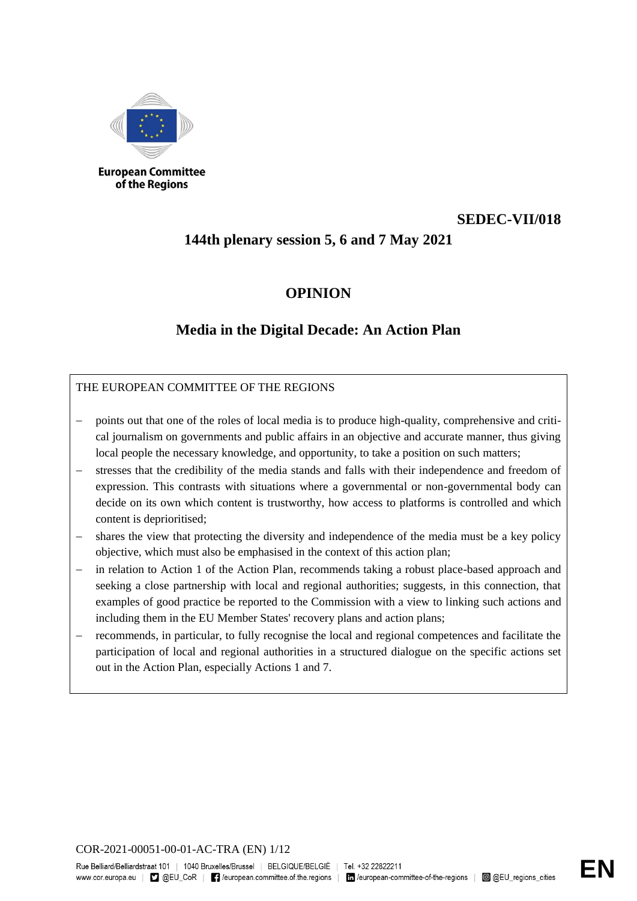

of the Regions

# **SEDEC-VII/018**

# **144th plenary session 5, 6 and 7 May 2021**

## **OPINION**

## **Media in the Digital Decade: An Action Plan**

## THE EUROPEAN COMMITTEE OF THE REGIONS

- points out that one of the roles of local media is to produce high-quality, comprehensive and critical journalism on governments and public affairs in an objective and accurate manner, thus giving local people the necessary knowledge, and opportunity, to take a position on such matters;
- stresses that the credibility of the media stands and falls with their independence and freedom of expression. This contrasts with situations where a governmental or non-governmental body can decide on its own which content is trustworthy, how access to platforms is controlled and which content is deprioritised;
- shares the view that protecting the diversity and independence of the media must be a key policy objective, which must also be emphasised in the context of this action plan;
- in relation to Action 1 of the Action Plan, recommends taking a robust place-based approach and seeking a close partnership with local and regional authorities; suggests, in this connection, that examples of good practice be reported to the Commission with a view to linking such actions and including them in the EU Member States' recovery plans and action plans;
- recommends, in particular, to fully recognise the local and regional competences and facilitate the participation of local and regional authorities in a structured dialogue on the specific actions set out in the Action Plan, especially Actions 1 and 7.

COR-2021-00051-00-01-AC-TRA (EN) 1/12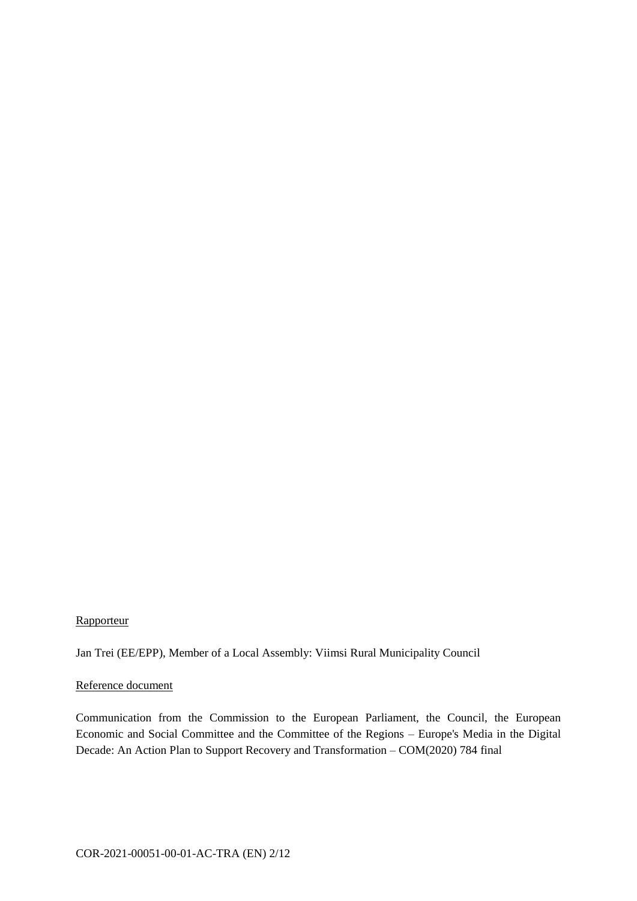#### **Rapporteur**

Jan Trei (EE/EPP), Member of a Local Assembly: Viimsi Rural Municipality Council

#### Reference document

Communication from the Commission to the European Parliament, the Council, the European Economic and Social Committee and the Committee of the Regions – Europe's Media in the Digital Decade: An Action Plan to Support Recovery and Transformation – COM(2020) 784 final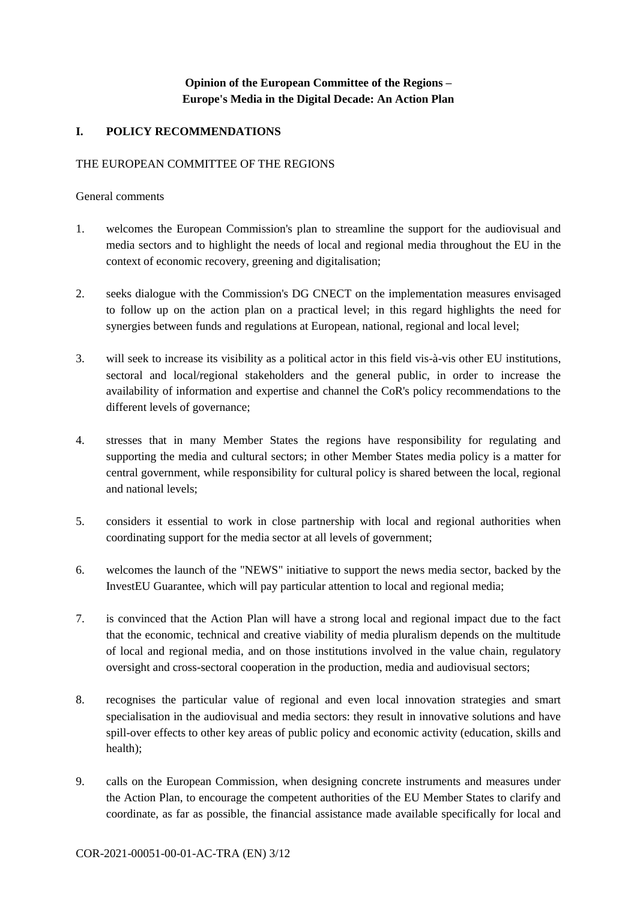## **Opinion of the European Committee of the Regions – Europe's Media in the Digital Decade: An Action Plan**

## **I. POLICY RECOMMENDATIONS**

#### THE EUROPEAN COMMITTEE OF THE REGIONS

#### General comments

- 1. welcomes the European Commission's plan to streamline the support for the audiovisual and media sectors and to highlight the needs of local and regional media throughout the EU in the context of economic recovery, greening and digitalisation;
- 2. seeks dialogue with the Commission's DG CNECT on the implementation measures envisaged to follow up on the action plan on a practical level; in this regard highlights the need for synergies between funds and regulations at European, national, regional and local level;
- 3. will seek to increase its visibility as a political actor in this field vis-à-vis other EU institutions, sectoral and local/regional stakeholders and the general public, in order to increase the availability of information and expertise and channel the CoR's policy recommendations to the different levels of governance;
- 4. stresses that in many Member States the regions have responsibility for regulating and supporting the media and cultural sectors; in other Member States media policy is a matter for central government, while responsibility for cultural policy is shared between the local, regional and national levels;
- 5. considers it essential to work in close partnership with local and regional authorities when coordinating support for the media sector at all levels of government;
- 6. welcomes the launch of the "NEWS" initiative to support the news media sector, backed by the InvestEU Guarantee, which will pay particular attention to local and regional media;
- 7. is convinced that the Action Plan will have a strong local and regional impact due to the fact that the economic, technical and creative viability of media pluralism depends on the multitude of local and regional media, and on those institutions involved in the value chain, regulatory oversight and cross-sectoral cooperation in the production, media and audiovisual sectors;
- 8. recognises the particular value of regional and even local innovation strategies and smart specialisation in the audiovisual and media sectors: they result in innovative solutions and have spill-over effects to other key areas of public policy and economic activity (education, skills and health);
- 9. calls on the European Commission, when designing concrete instruments and measures under the Action Plan, to encourage the competent authorities of the EU Member States to clarify and coordinate, as far as possible, the financial assistance made available specifically for local and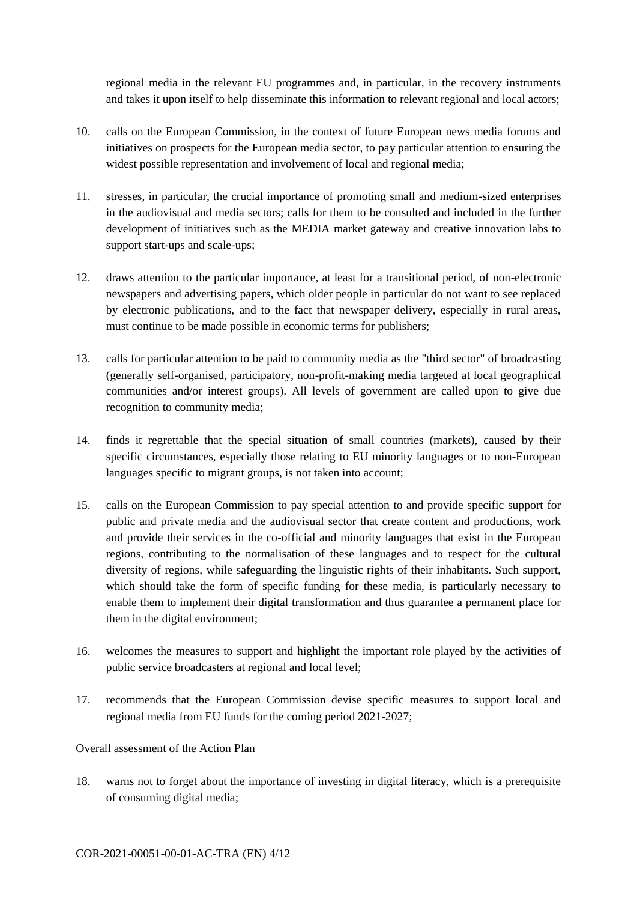regional media in the relevant EU programmes and, in particular, in the recovery instruments and takes it upon itself to help disseminate this information to relevant regional and local actors;

- 10. calls on the European Commission, in the context of future European news media forums and initiatives on prospects for the European media sector, to pay particular attention to ensuring the widest possible representation and involvement of local and regional media;
- 11. stresses, in particular, the crucial importance of promoting small and medium-sized enterprises in the audiovisual and media sectors; calls for them to be consulted and included in the further development of initiatives such as the MEDIA market gateway and creative innovation labs to support start-ups and scale-ups;
- 12. draws attention to the particular importance, at least for a transitional period, of non-electronic newspapers and advertising papers, which older people in particular do not want to see replaced by electronic publications, and to the fact that newspaper delivery, especially in rural areas, must continue to be made possible in economic terms for publishers;
- 13. calls for particular attention to be paid to community media as the "third sector" of broadcasting (generally self-organised, participatory, non-profit-making media targeted at local geographical communities and/or interest groups). All levels of government are called upon to give due recognition to community media;
- 14. finds it regrettable that the special situation of small countries (markets), caused by their specific circumstances, especially those relating to EU minority languages or to non-European languages specific to migrant groups, is not taken into account;
- 15. calls on the European Commission to pay special attention to and provide specific support for public and private media and the audiovisual sector that create content and productions, work and provide their services in the co-official and minority languages that exist in the European regions, contributing to the normalisation of these languages and to respect for the cultural diversity of regions, while safeguarding the linguistic rights of their inhabitants. Such support, which should take the form of specific funding for these media, is particularly necessary to enable them to implement their digital transformation and thus guarantee a permanent place for them in the digital environment;
- 16. welcomes the measures to support and highlight the important role played by the activities of public service broadcasters at regional and local level;
- 17. recommends that the European Commission devise specific measures to support local and regional media from EU funds for the coming period 2021-2027;

## Overall assessment of the Action Plan

18. warns not to forget about the importance of investing in digital literacy, which is a prerequisite of consuming digital media;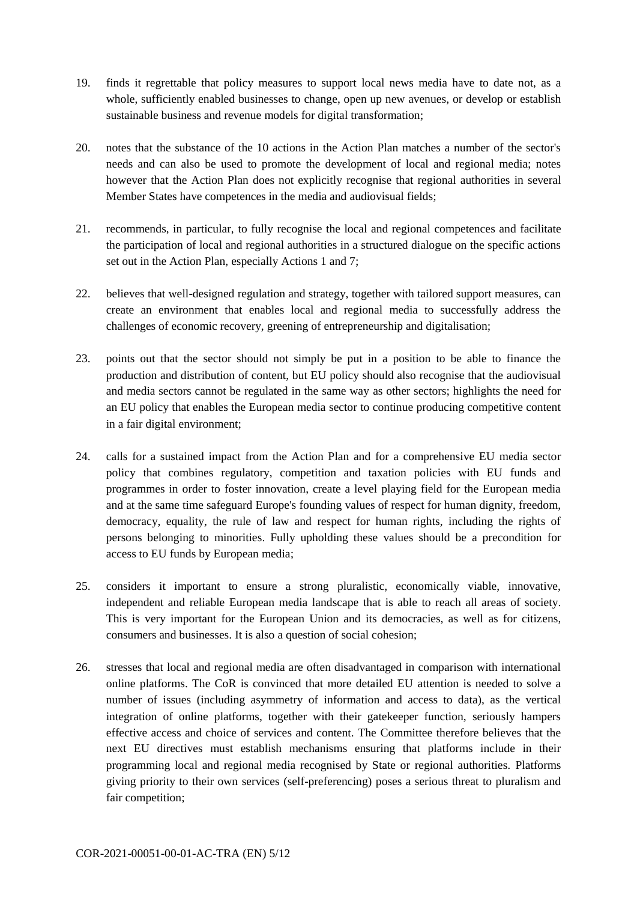- 19. finds it regrettable that policy measures to support local news media have to date not, as a whole, sufficiently enabled businesses to change, open up new avenues, or develop or establish sustainable business and revenue models for digital transformation;
- 20. notes that the substance of the 10 actions in the Action Plan matches a number of the sector's needs and can also be used to promote the development of local and regional media; notes however that the Action Plan does not explicitly recognise that regional authorities in several Member States have competences in the media and audiovisual fields;
- 21. recommends, in particular, to fully recognise the local and regional competences and facilitate the participation of local and regional authorities in a structured dialogue on the specific actions set out in the Action Plan, especially Actions 1 and 7;
- 22. believes that well-designed regulation and strategy, together with tailored support measures, can create an environment that enables local and regional media to successfully address the challenges of economic recovery, greening of entrepreneurship and digitalisation;
- 23. points out that the sector should not simply be put in a position to be able to finance the production and distribution of content, but EU policy should also recognise that the audiovisual and media sectors cannot be regulated in the same way as other sectors; highlights the need for an EU policy that enables the European media sector to continue producing competitive content in a fair digital environment;
- 24. calls for a sustained impact from the Action Plan and for a comprehensive EU media sector policy that combines regulatory, competition and taxation policies with EU funds and programmes in order to foster innovation, create a level playing field for the European media and at the same time safeguard Europe's founding values of respect for human dignity, freedom, democracy, equality, the rule of law and respect for human rights, including the rights of persons belonging to minorities. Fully upholding these values should be a precondition for access to EU funds by European media;
- 25. considers it important to ensure a strong pluralistic, economically viable, innovative, independent and reliable European media landscape that is able to reach all areas of society. This is very important for the European Union and its democracies, as well as for citizens, consumers and businesses. It is also a question of social cohesion;
- 26. stresses that local and regional media are often disadvantaged in comparison with international online platforms. The CoR is convinced that more detailed EU attention is needed to solve a number of issues (including asymmetry of information and access to data), as the vertical integration of online platforms, together with their gatekeeper function, seriously hampers effective access and choice of services and content. The Committee therefore believes that the next EU directives must establish mechanisms ensuring that platforms include in their programming local and regional media recognised by State or regional authorities. Platforms giving priority to their own services (self-preferencing) poses a serious threat to pluralism and fair competition;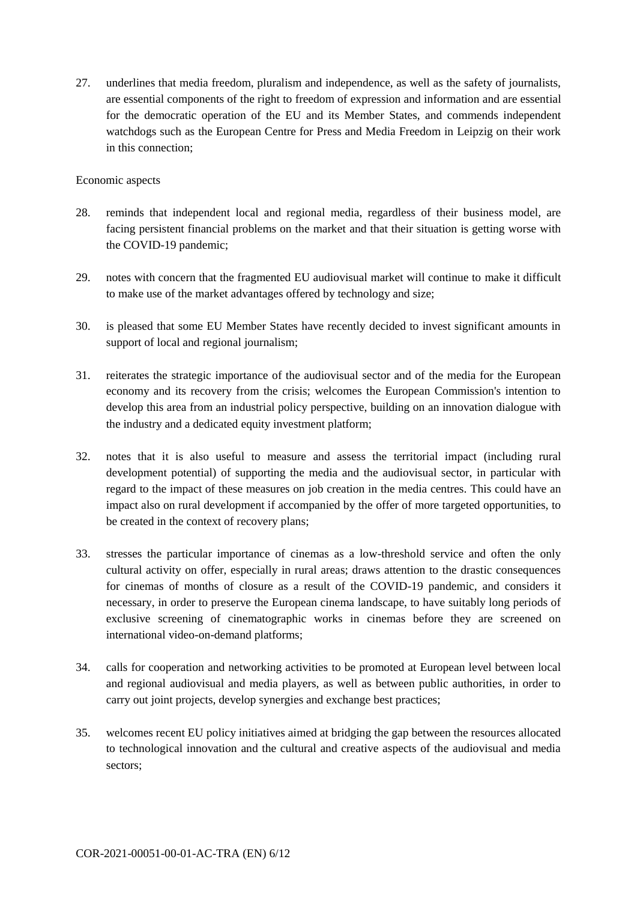27. underlines that media freedom, pluralism and independence, as well as the safety of journalists, are essential components of the right to freedom of expression and information and are essential for the democratic operation of the EU and its Member States, and commends independent watchdogs such as the European Centre for Press and Media Freedom in Leipzig on their work in this connection;

#### Economic aspects

- 28. reminds that independent local and regional media, regardless of their business model, are facing persistent financial problems on the market and that their situation is getting worse with the COVID-19 pandemic;
- 29. notes with concern that the fragmented EU audiovisual market will continue to make it difficult to make use of the market advantages offered by technology and size;
- 30. is pleased that some EU Member States have recently decided to invest significant amounts in support of local and regional journalism;
- 31. reiterates the strategic importance of the audiovisual sector and of the media for the European economy and its recovery from the crisis; welcomes the European Commission's intention to develop this area from an industrial policy perspective, building on an innovation dialogue with the industry and a dedicated equity investment platform;
- 32. notes that it is also useful to measure and assess the territorial impact (including rural development potential) of supporting the media and the audiovisual sector, in particular with regard to the impact of these measures on job creation in the media centres. This could have an impact also on rural development if accompanied by the offer of more targeted opportunities, to be created in the context of recovery plans;
- 33. stresses the particular importance of cinemas as a low-threshold service and often the only cultural activity on offer, especially in rural areas; draws attention to the drastic consequences for cinemas of months of closure as a result of the COVID-19 pandemic, and considers it necessary, in order to preserve the European cinema landscape, to have suitably long periods of exclusive screening of cinematographic works in cinemas before they are screened on international video-on-demand platforms;
- 34. calls for cooperation and networking activities to be promoted at European level between local and regional audiovisual and media players, as well as between public authorities, in order to carry out joint projects, develop synergies and exchange best practices;
- 35. welcomes recent EU policy initiatives aimed at bridging the gap between the resources allocated to technological innovation and the cultural and creative aspects of the audiovisual and media sectors;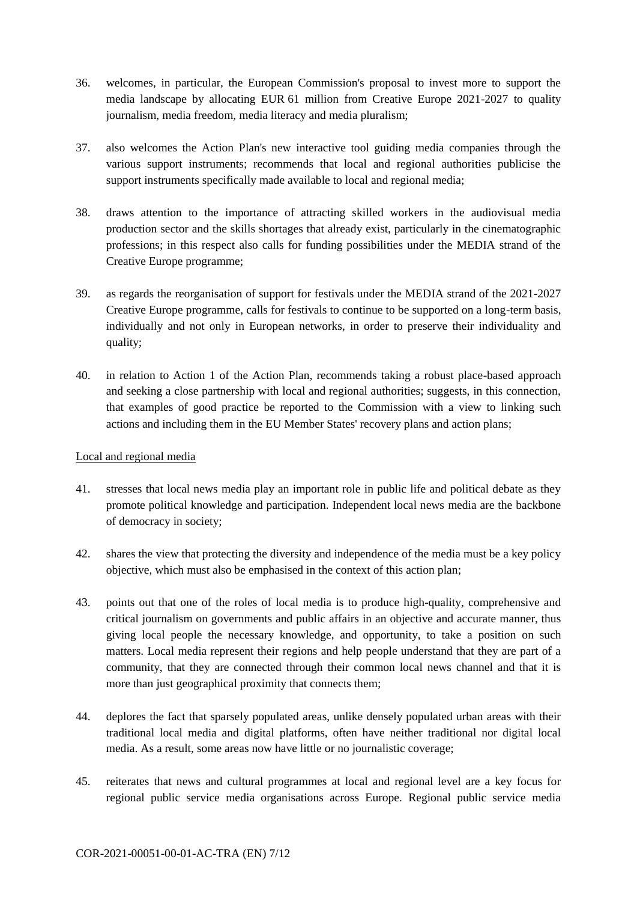- 36. welcomes, in particular, the European Commission's proposal to invest more to support the media landscape by allocating EUR 61 million from Creative Europe 2021-2027 to quality journalism, media freedom, media literacy and media pluralism;
- 37. also welcomes the Action Plan's new interactive tool guiding media companies through the various support instruments; recommends that local and regional authorities publicise the support instruments specifically made available to local and regional media;
- 38. draws attention to the importance of attracting skilled workers in the audiovisual media production sector and the skills shortages that already exist, particularly in the cinematographic professions; in this respect also calls for funding possibilities under the MEDIA strand of the Creative Europe programme;
- 39. as regards the reorganisation of support for festivals under the MEDIA strand of the 2021-2027 Creative Europe programme, calls for festivals to continue to be supported on a long-term basis, individually and not only in European networks, in order to preserve their individuality and quality;
- 40. in relation to Action 1 of the Action Plan, recommends taking a robust place-based approach and seeking a close partnership with local and regional authorities; suggests, in this connection, that examples of good practice be reported to the Commission with a view to linking such actions and including them in the EU Member States' recovery plans and action plans;

## Local and regional media

- 41. stresses that local news media play an important role in public life and political debate as they promote political knowledge and participation. Independent local news media are the backbone of democracy in society;
- 42. shares the view that protecting the diversity and independence of the media must be a key policy objective, which must also be emphasised in the context of this action plan;
- 43. points out that one of the roles of local media is to produce high-quality, comprehensive and critical journalism on governments and public affairs in an objective and accurate manner, thus giving local people the necessary knowledge, and opportunity, to take a position on such matters. Local media represent their regions and help people understand that they are part of a community, that they are connected through their common local news channel and that it is more than just geographical proximity that connects them;
- 44. deplores the fact that sparsely populated areas, unlike densely populated urban areas with their traditional local media and digital platforms, often have neither traditional nor digital local media. As a result, some areas now have little or no journalistic coverage;
- 45. reiterates that news and cultural programmes at local and regional level are a key focus for regional public service media organisations across Europe. Regional public service media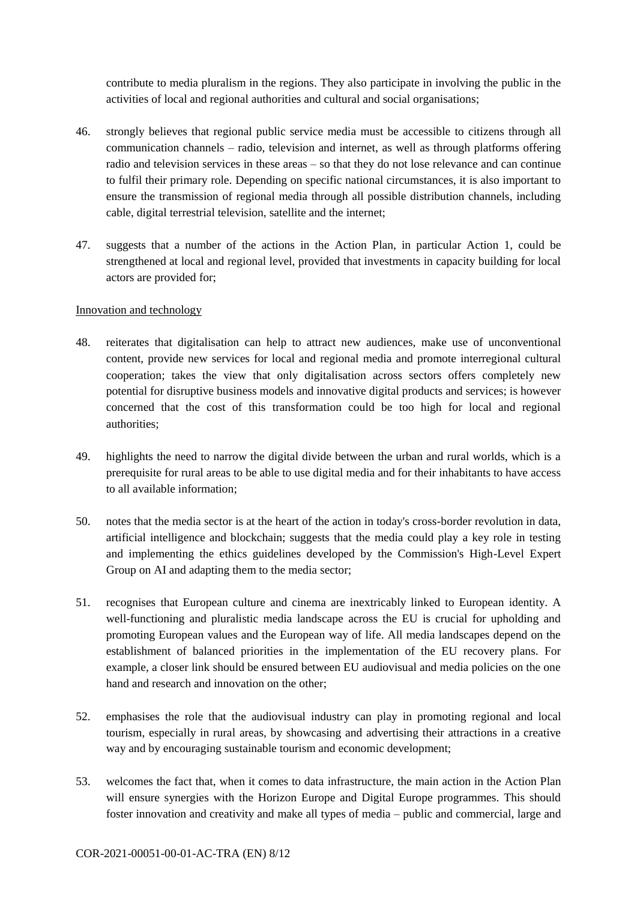contribute to media pluralism in the regions. They also participate in involving the public in the activities of local and regional authorities and cultural and social organisations;

- 46. strongly believes that regional public service media must be accessible to citizens through all communication channels – radio, television and internet, as well as through platforms offering radio and television services in these areas – so that they do not lose relevance and can continue to fulfil their primary role. Depending on specific national circumstances, it is also important to ensure the transmission of regional media through all possible distribution channels, including cable, digital terrestrial television, satellite and the internet;
- 47. suggests that a number of the actions in the Action Plan, in particular Action 1, could be strengthened at local and regional level, provided that investments in capacity building for local actors are provided for;

#### Innovation and technology

- 48. reiterates that digitalisation can help to attract new audiences, make use of unconventional content, provide new services for local and regional media and promote interregional cultural cooperation; takes the view that only digitalisation across sectors offers completely new potential for disruptive business models and innovative digital products and services; is however concerned that the cost of this transformation could be too high for local and regional authorities;
- 49. highlights the need to narrow the digital divide between the urban and rural worlds, which is a prerequisite for rural areas to be able to use digital media and for their inhabitants to have access to all available information;
- 50. notes that the media sector is at the heart of the action in today's cross-border revolution in data, artificial intelligence and blockchain; suggests that the media could play a key role in testing and implementing the ethics guidelines developed by the Commission's High-Level Expert Group on AI and adapting them to the media sector;
- 51. recognises that European culture and cinema are inextricably linked to European identity. A well-functioning and pluralistic media landscape across the EU is crucial for upholding and promoting European values and the European way of life. All media landscapes depend on the establishment of balanced priorities in the implementation of the EU recovery plans. For example, a closer link should be ensured between EU audiovisual and media policies on the one hand and research and innovation on the other;
- 52. emphasises the role that the audiovisual industry can play in promoting regional and local tourism, especially in rural areas, by showcasing and advertising their attractions in a creative way and by encouraging sustainable tourism and economic development;
- 53. welcomes the fact that, when it comes to data infrastructure, the main action in the Action Plan will ensure synergies with the Horizon Europe and Digital Europe programmes. This should foster innovation and creativity and make all types of media – public and commercial, large and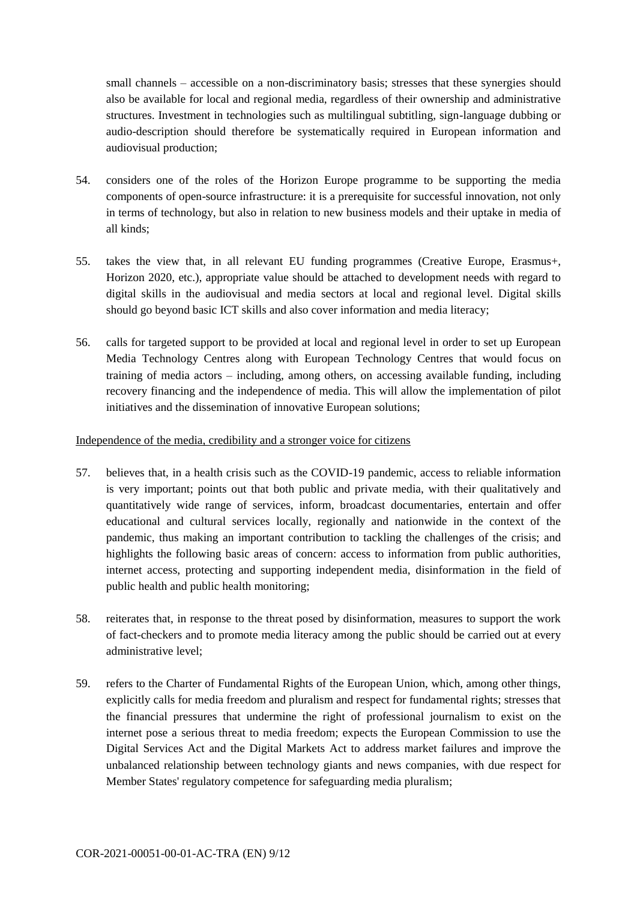small channels – accessible on a non-discriminatory basis; stresses that these synergies should also be available for local and regional media, regardless of their ownership and administrative structures. Investment in technologies such as multilingual subtitling, sign-language dubbing or audio-description should therefore be systematically required in European information and audiovisual production;

- 54. considers one of the roles of the Horizon Europe programme to be supporting the media components of open-source infrastructure: it is a prerequisite for successful innovation, not only in terms of technology, but also in relation to new business models and their uptake in media of all kinds;
- 55. takes the view that, in all relevant EU funding programmes (Creative Europe, Erasmus+, Horizon 2020, etc.), appropriate value should be attached to development needs with regard to digital skills in the audiovisual and media sectors at local and regional level. Digital skills should go beyond basic ICT skills and also cover information and media literacy;
- 56. calls for targeted support to be provided at local and regional level in order to set up European Media Technology Centres along with European Technology Centres that would focus on training of media actors – including, among others, on accessing available funding, including recovery financing and the independence of media. This will allow the implementation of pilot initiatives and the dissemination of innovative European solutions;

#### Independence of the media, credibility and a stronger voice for citizens

- 57. believes that, in a health crisis such as the COVID-19 pandemic, access to reliable information is very important; points out that both public and private media, with their qualitatively and quantitatively wide range of services, inform, broadcast documentaries, entertain and offer educational and cultural services locally, regionally and nationwide in the context of the pandemic, thus making an important contribution to tackling the challenges of the crisis; and highlights the following basic areas of concern: access to information from public authorities, internet access, protecting and supporting independent media, disinformation in the field of public health and public health monitoring;
- 58. reiterates that, in response to the threat posed by disinformation, measures to support the work of fact-checkers and to promote media literacy among the public should be carried out at every administrative level;
- 59. refers to the Charter of Fundamental Rights of the European Union, which, among other things, explicitly calls for media freedom and pluralism and respect for fundamental rights; stresses that the financial pressures that undermine the right of professional journalism to exist on the internet pose a serious threat to media freedom; expects the European Commission to use the Digital Services Act and the Digital Markets Act to address market failures and improve the unbalanced relationship between technology giants and news companies, with due respect for Member States' regulatory competence for safeguarding media pluralism;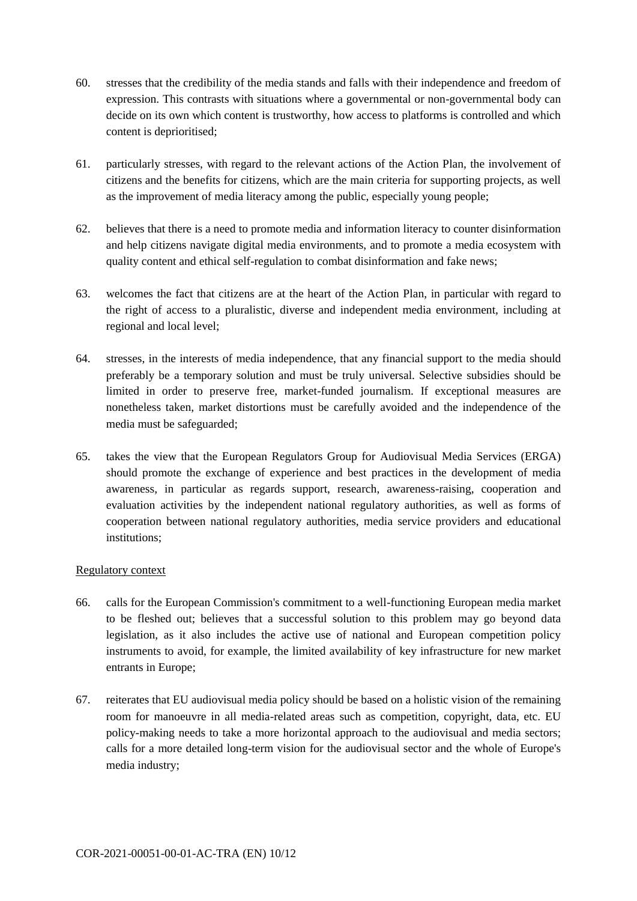- 60. stresses that the credibility of the media stands and falls with their independence and freedom of expression. This contrasts with situations where a governmental or non-governmental body can decide on its own which content is trustworthy, how access to platforms is controlled and which content is deprioritised;
- 61. particularly stresses, with regard to the relevant actions of the Action Plan, the involvement of citizens and the benefits for citizens, which are the main criteria for supporting projects, as well as the improvement of media literacy among the public, especially young people;
- 62. believes that there is a need to promote media and information literacy to counter disinformation and help citizens navigate digital media environments, and to promote a media ecosystem with quality content and ethical self-regulation to combat disinformation and fake news;
- 63. welcomes the fact that citizens are at the heart of the Action Plan, in particular with regard to the right of access to a pluralistic, diverse and independent media environment, including at regional and local level;
- 64. stresses, in the interests of media independence, that any financial support to the media should preferably be a temporary solution and must be truly universal. Selective subsidies should be limited in order to preserve free, market-funded journalism. If exceptional measures are nonetheless taken, market distortions must be carefully avoided and the independence of the media must be safeguarded;
- 65. takes the view that the European Regulators Group for Audiovisual Media Services (ERGA) should promote the exchange of experience and best practices in the development of media awareness, in particular as regards support, research, awareness-raising, cooperation and evaluation activities by the independent national regulatory authorities, as well as forms of cooperation between national regulatory authorities, media service providers and educational institutions;

## Regulatory context

- 66. calls for the European Commission's commitment to a well-functioning European media market to be fleshed out; believes that a successful solution to this problem may go beyond data legislation, as it also includes the active use of national and European competition policy instruments to avoid, for example, the limited availability of key infrastructure for new market entrants in Europe;
- 67. reiterates that EU audiovisual media policy should be based on a holistic vision of the remaining room for manoeuvre in all media-related areas such as competition, copyright, data, etc. EU policy-making needs to take a more horizontal approach to the audiovisual and media sectors; calls for a more detailed long-term vision for the audiovisual sector and the whole of Europe's media industry;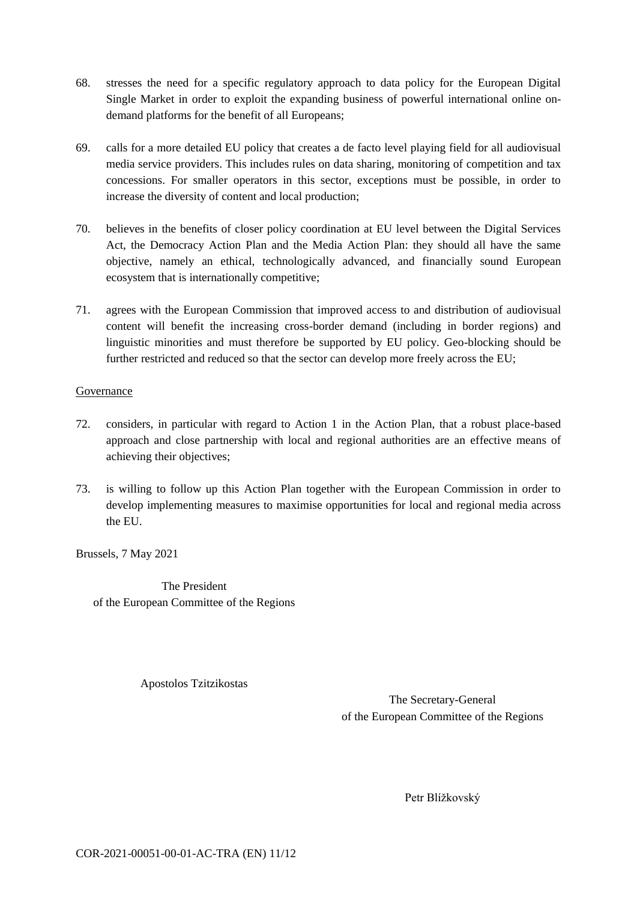- 68. stresses the need for a specific regulatory approach to data policy for the European Digital Single Market in order to exploit the expanding business of powerful international online ondemand platforms for the benefit of all Europeans;
- 69. calls for a more detailed EU policy that creates a de facto level playing field for all audiovisual media service providers. This includes rules on data sharing, monitoring of competition and tax concessions. For smaller operators in this sector, exceptions must be possible, in order to increase the diversity of content and local production;
- 70. believes in the benefits of closer policy coordination at EU level between the Digital Services Act, the Democracy Action Plan and the Media Action Plan: they should all have the same objective, namely an ethical, technologically advanced, and financially sound European ecosystem that is internationally competitive;
- 71. agrees with the European Commission that improved access to and distribution of audiovisual content will benefit the increasing cross-border demand (including in border regions) and linguistic minorities and must therefore be supported by EU policy. Geo-blocking should be further restricted and reduced so that the sector can develop more freely across the EU;

## Governance

- 72. considers, in particular with regard to Action 1 in the Action Plan, that a robust place-based approach and close partnership with local and regional authorities are an effective means of achieving their objectives;
- 73. is willing to follow up this Action Plan together with the European Commission in order to develop implementing measures to maximise opportunities for local and regional media across the EU.

Brussels, 7 May 2021

The President of the European Committee of the Regions

Apostolos Tzitzikostas

The Secretary-General of the European Committee of the Regions

Petr Blížkovský